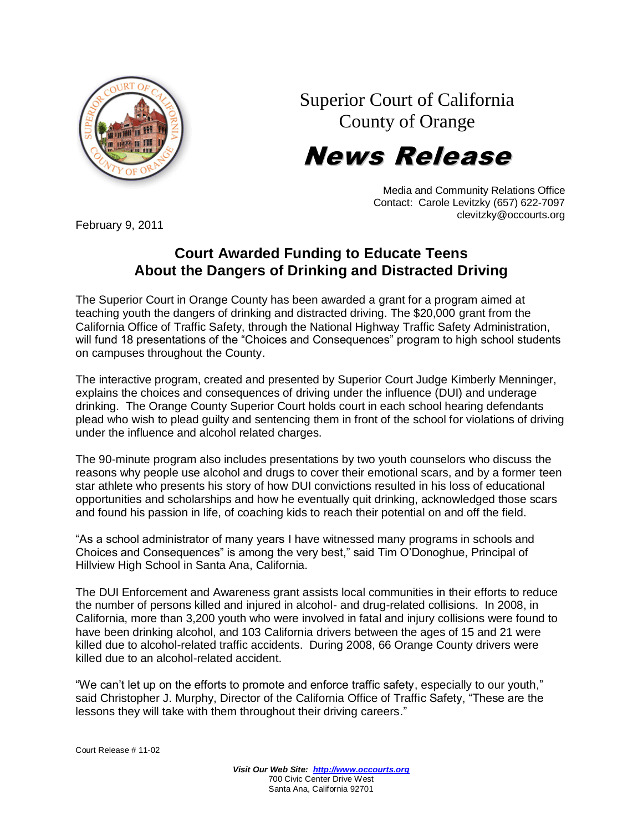Superior Court of California County of Orange

## News Release



February 9, 2011

## **Court Awarded Funding to Educate Teens About the Dangers of Drinking and Distracted Driving**

The Superior Court in Orange County has been awarded a grant for a program aimed at teaching youth the dangers of drinking and distracted driving. The \$20,000 grant from the California Office of Traffic Safety, through the National Highway Traffic Safety Administration, will fund 18 presentations of the "Choices and Consequences" program to high school students on campuses throughout the County.

The interactive program, created and presented by Superior Court Judge Kimberly Menninger, explains the choices and consequences of driving under the influence (DUI) and underage drinking. The Orange County Superior Court holds court in each school hearing defendants plead who wish to plead guilty and sentencing them in front of the school for violations of driving under the influence and alcohol related charges.

The 90-minute program also includes presentations by two youth counselors who discuss the reasons why people use alcohol and drugs to cover their emotional scars, and by a former teen star athlete who presents his story of how DUI convictions resulted in his loss of educational opportunities and scholarships and how he eventually quit drinking, acknowledged those scars and found his passion in life, of coaching kids to reach their potential on and off the field.

"As a school administrator of many years I have witnessed many programs in schools and Choices and Consequences" is among the very best," said Tim O'Donoghue, Principal of Hillview High School in Santa Ana, California.

The DUI Enforcement and Awareness grant assists local communities in their efforts to reduce the number of persons killed and injured in alcohol- and drug-related collisions. In 2008, in California, more than 3,200 youth who were involved in fatal and injury collisions were found to have been drinking alcohol, and 103 California drivers between the ages of 15 and 21 were killed due to alcohol-related traffic accidents. During 2008, 66 Orange County drivers were killed due to an alcohol-related accident.

"We can't let up on the efforts to promote and enforce traffic safety, especially to our youth," said Christopher J. Murphy, Director of the California Office of Traffic Safety, "These are the lessons they will take with them throughout their driving careers."

Court Release # 11-02